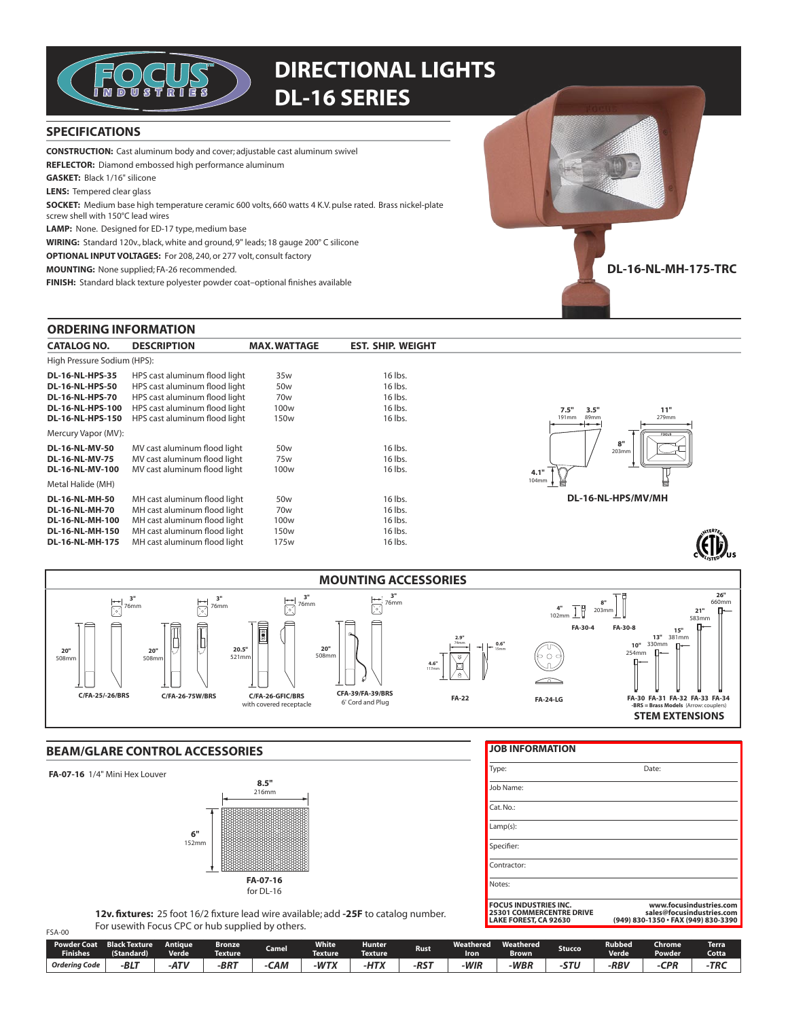

# **DIRECTIONAL LIGHTS DL-16 SERIES**

## **SPECIFICATIONS**

**CONSTRUCTION:** Cast aluminum body and cover; adjustable cast aluminum swivel

REFLECTOR: Diamond embossed high performance aluminum

**GASKET:** Black 1/16" silicone

**LENS:** Tempered clear glass

SOCKET: Medium base high temperature ceramic 600 volts, 660 watts 4 K.V. pulse rated. Brass nickel-plate

screw shell with 150°C lead wires

LAMP: None. Designed for ED-17 type, medium base

WIRING: Standard 120v., black, white and ground, 9" leads; 18 gauge 200° C silicone

**OPTIONAL INPUT VOLTAGES:** For 208, 240, or 277 volt, consult factory

**MOUNTING:** None supplied; FA-26 recommended.

FINISH: Standard black texture polyester powder coat-optional finishes available

### **ORDERING INFORMATION**

| <b>CATALOG NO.</b>          | <b>DESCRIPTION</b>            | <b>MAX.WATTAGE</b> | <b>EST. SHIP. WEIGHT</b> |  |  |
|-----------------------------|-------------------------------|--------------------|--------------------------|--|--|
| High Pressure Sodium (HPS): |                               |                    |                          |  |  |
| <b>DL-16-NL-HPS-35</b>      | HPS cast aluminum flood light | 35 <sub>w</sub>    | 16 lbs.                  |  |  |
| <b>DL-16-NL-HPS-50</b>      | HPS cast aluminum flood light | 50 <sub>w</sub>    | 16 lbs.                  |  |  |
| <b>DL-16-NL-HPS-70</b>      | HPS cast aluminum flood light | 70 <sub>w</sub>    | 16 lbs.                  |  |  |
| <b>DL-16-NL-HPS-100</b>     | HPS cast aluminum flood light | 100 <sub>w</sub>   | 16 lbs.                  |  |  |
| <b>DL-16-NL-HPS-150</b>     | HPS cast aluminum flood light | 150 <sub>w</sub>   | 16 lbs.                  |  |  |
| Mercury Vapor (MV):         |                               |                    |                          |  |  |
| <b>DL-16-NL-MV-50</b>       | MV cast aluminum flood light  | 50 <sub>w</sub>    | 16 lbs.                  |  |  |
| <b>DL-16-NL-MV-75</b>       | MV cast aluminum flood light  | 75 <sub>w</sub>    | 16 lbs.                  |  |  |
| <b>DL-16-NL-MV-100</b>      | MV cast aluminum flood light  | 100 <sub>w</sub>   | 16 lbs.                  |  |  |
| Metal Halide (MH)           |                               |                    |                          |  |  |
| <b>DL-16-NL-MH-50</b>       | MH cast aluminum flood light  | 50 <sub>w</sub>    | 16 lbs.                  |  |  |
| <b>DL-16-NL-MH-70</b>       | MH cast aluminum flood light  | 70 <sub>w</sub>    | 16 lbs.                  |  |  |
| <b>DL-16-NL-MH-100</b>      | MH cast aluminum flood light  | 100 <sub>w</sub>   | 16 lbs.                  |  |  |
| <b>DL-16-NL-MH-150</b>      | MH cast aluminum flood light  | 150 <sub>w</sub>   | 16 lbs.                  |  |  |
| <b>DL-16-NL-MH-175</b>      | MH cast aluminum flood light  | 175w               | 16 lbs.                  |  |  |





**DL-16-NL-MH-175-TRC** 



# **BEAM/GLARE CONTROL ACCESSORIES**

### FA-07-16 1/4" Mini Hex Louver

 $FSA-00$ 



#### **JOB INFORMATION**

| <b>FOCUS INDUSTRIES INC.</b><br><b>25301 COMMERCENTRE DRIVE</b><br>LAKE FOREST, CA 92630 | www.focusindustries.com<br>sales@focusindustries.com<br>(949) 830-1350 · FAX (949) 830-3390 |
|------------------------------------------------------------------------------------------|---------------------------------------------------------------------------------------------|
| Notes:                                                                                   |                                                                                             |
| Contractor:                                                                              |                                                                                             |
| Specifier:                                                                               |                                                                                             |
| $Lamp(s)$ :                                                                              |                                                                                             |
| Cat. No.:                                                                                |                                                                                             |
| Job Name:                                                                                |                                                                                             |
| Type:                                                                                    | Date:                                                                                       |
|                                                                                          |                                                                                             |

12v. fixtures: 25 foot 16/2 fixture lead wire available; add -25F to catalog number. For usewith Focus CPC or hub supplied by others.

| . Powder Coat<br><b>Finishes</b> | <b>Black Texture</b><br>(Standard) | Antiaue<br><b>Verde</b> | Bronze<br>Texture | <b>Camel</b> | <b>White</b><br><b>Texture</b> | <b>Hunter</b><br><b>Texture</b> | <b>Rust</b> | We.<br>Iron | Weathered<br>3rown | Stucco | Rubbed<br><b>Verde</b> | :hrome<br>Powder | <b>Terra</b><br>Cotta |
|----------------------------------|------------------------------------|-------------------------|-------------------|--------------|--------------------------------|---------------------------------|-------------|-------------|--------------------|--------|------------------------|------------------|-----------------------|
| Orderina Code                    | -BL <sup>-</sup>                   | $-AT'$                  | $-BRT$            | САМ          | $-WTY$<br>. <i>.</i>           | 11TV<br><u>піл</u>              | DC1<br>. מא | ·WIR        | -WBP               | CTI.   | -RBV                   | rnc              | ·TRO                  |